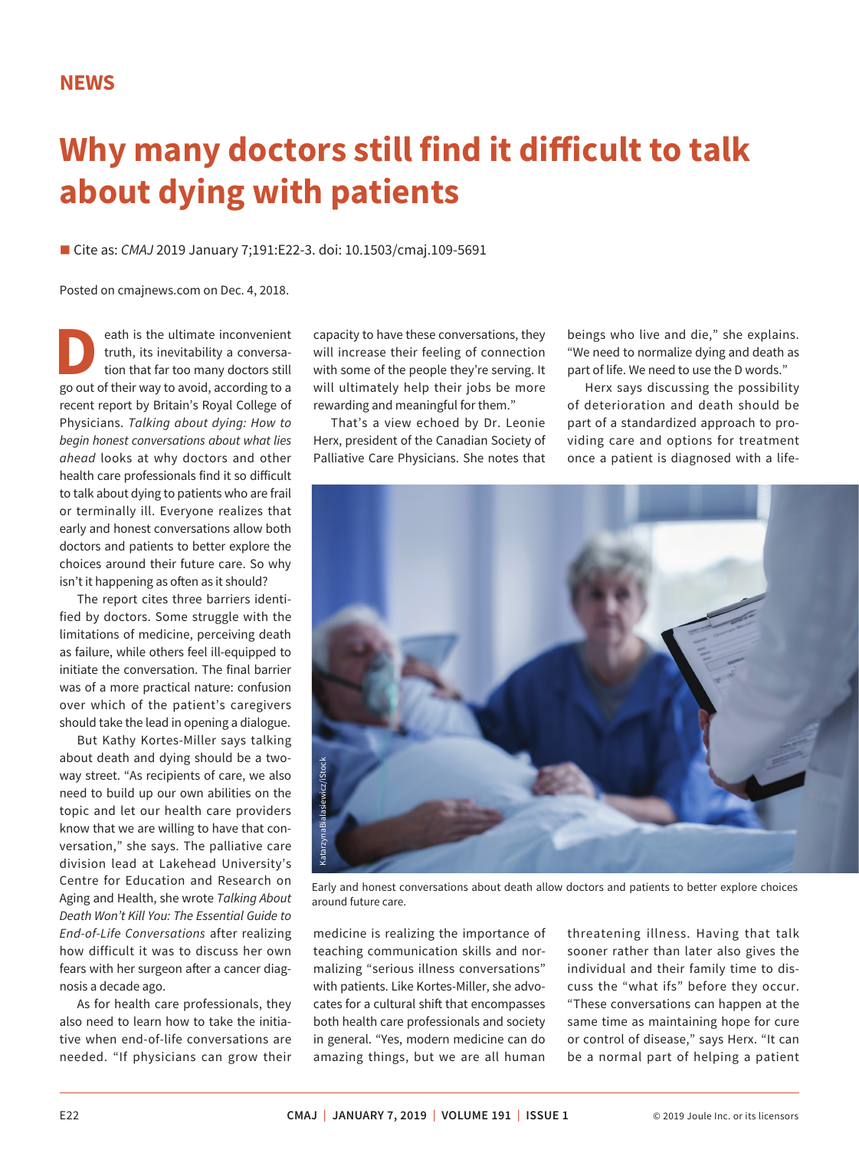## **Why many doctors still find it difficult to talk about dying with patients**

■ Cite as: *CMAJ* 2019 January 7;191:E22-3. doi: 10.1503/cmaj.109-5691

Posted on cmajnews.com on Dec. 4, 2018.

**D**eath is the ultimate inconvenient truth, its inevitability a conversation that far too many doctors still go out of their way to avoid, according to a truth, its inevitability a conversation that far too many doctors still recent report by Britain's Royal College of Physicians. *Talking about dying: How to begin honest conversations about what lies ahead* looks at why doctors and other health care professionals find it so difficult to talk about dying to patients who are frail or terminally ill. Everyone realizes that early and honest conversations allow both doctors and patients to better explore the choices around their future care. So why isn't it happening as often as it should?

The report cites three barriers identified by doctors. Some struggle with the limitations of medicine, perceiving death as failure, while others feel ill-equipped to initiate the conversation. The final barrier was of a more practical nature: confusion over which of the patient's caregivers should take the lead in opening a dialogue.

But Kathy Kortes-Miller says talking about death and dying should be a twoway street. "As recipients of care, we also need to build up our own abilities on the topic and let our health care providers know that we are willing to have that conversation," she says. The palliative care division lead at Lakehead University's Centre for Education and Research on Aging and Health, she wrote *Talking About Death Won't Kill You: The Essential Guide to End-of-Life Conversations* after realizing how difficult it was to discuss her own fears with her surgeon after a cancer diagnosis a decade ago.

As for health care professionals, they also need to learn how to take the initiative when end-of-life conversations are needed. "If physicians can grow their

capacity to have these conversations, they will increase their feeling of connection with some of the people they're serving. It will ultimately help their jobs be more rewarding and meaningful for them."

That's a view echoed by Dr. Leonie Herx, president of the Canadian Society of Palliative Care Physicians. She notes that

beings who live and die," she explains. "We need to normalize dying and death as part of life. We need to use the D words."

Herx says discussing the possibility of deterioration and death should be part of a standardized approach to providing care and options for treatment once a patient is diagnosed with a life-



Early and honest conversations about death allow doctors and patients to better explore choices

medicine is realizing the importance of teaching communication skills and normalizing "serious illness conversations" with patients. Like Kortes-Miller, she advocates for a cultural shift that encompasses both health care professionals and society in general. "Yes, modern medicine can do amazing things, but we are all human threatening illness. Having that talk sooner rather than later also gives the individual and their family time to discuss the "what ifs" before they occur. "These conversations can happen at the same time as maintaining hope for cure or control of disease," says Herx. "It can be a normal part of helping a patient